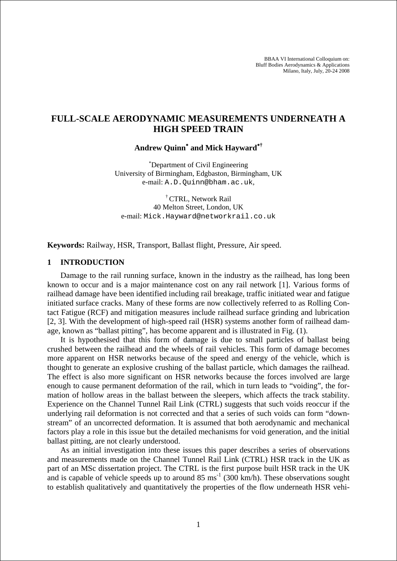BBAA VI International Colloquium on: Bluff Bodies Aerodynamics & Applications Milano, Italy, July, 20-24 2008

# **FULL-SCALE AERODYNAMIC MEASUREMENTS UNDERNEATH A HIGH SPEED TRAIN**

**Andrew Quinn**<sup>∗</sup>  **and Mick Hayward**<sup>∗</sup>**†**

∗ Department of Civil Engineering University of Birmingham, Edgbaston, Birmingham, UK e-mail: A.D.Quinn@bham.ac.uk,

† CTRL, Network Rail 40 Melton Street, London, UK e-mail: Mick.Hayward@networkrail.co.uk

**Keywords:** Railway, HSR, Transport, Ballast flight, Pressure, Air speed.

### **1 INTRODUCTION**

Damage to the rail running surface, known in the industry as the railhead, has long been known to occur and is a major maintenance cost on any rail network [1]. Various forms of railhead damage have been identified including rail breakage, traffic initiated wear and fatigue initiated surface cracks. Many of these forms are now collectively referred to as Rolling Contact Fatigue (RCF) and mitigation measures include railhead surface grinding and lubrication [2, 3]. With the development of high-speed rail (HSR) systems another form of railhead damage, known as "ballast pitting", has become apparent and is illustrated in Fig. (1).

It is hypothesised that this form of damage is due to small particles of ballast being crushed between the railhead and the wheels of rail vehicles. This form of damage becomes more apparent on HSR networks because of the speed and energy of the vehicle, which is thought to generate an explosive crushing of the ballast particle, which damages the railhead. The effect is also more significant on HSR networks because the forces involved are large enough to cause permanent deformation of the rail, which in turn leads to "voiding", the formation of hollow areas in the ballast between the sleepers, which affects the track stability. Experience on the Channel Tunnel Rail Link (CTRL) suggests that such voids reoccur if the underlying rail deformation is not corrected and that a series of such voids can form "downstream" of an uncorrected deformation. It is assumed that both aerodynamic and mechanical factors play a role in this issue but the detailed mechanisms for void generation, and the initial ballast pitting, are not clearly understood.

As an initial investigation into these issues this paper describes a series of observations and measurements made on the Channel Tunnel Rail Link (CTRL) HSR track in the UK as part of an MSc dissertation project. The CTRL is the first purpose built HSR track in the UK and is capable of vehicle speeds up to around  $85 \text{ ms}^{-1}$  (300 km/h). These observations sought to establish qualitatively and quantitatively the properties of the flow underneath HSR vehi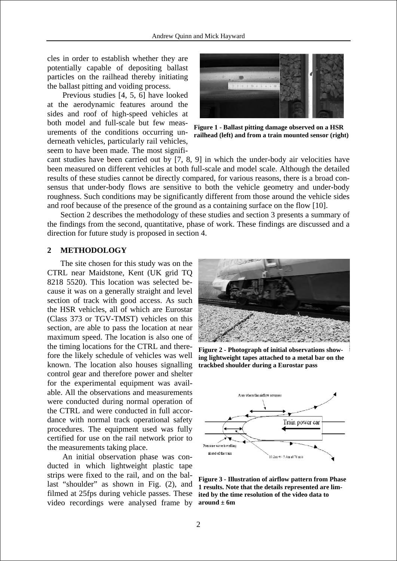cles in order to establish whether they are potentially capable of depositing ballast particles on the railhead thereby initiating the ballast pitting and voiding process.

 Previous studies [4, 5, 6] have looked at the aerodynamic features around the sides and roof of high-speed vehicles at both model and full-scale but few measurements of the conditions occurring underneath vehicles, particularly rail vehicles, seem to have been made. The most signifi-



**F igure 1 - Ballast pitting damage observed on a HSR r ailhead (left) and from a train mounted sensor (right)**

and roof because of the presence of the ground as a containing surface on the flow [10]. cant studies have been carried out by [7, 8, 9] in which the under-body air velocities have been measured on different vehicles at both full-scale and model scale. Although the detailed results of these studies cannot be directly compared, for various reasons, there is a broad consensus that under-body flows are sensitive to both the vehicle geometry and under-body roughness. Such conditions may be significantly different from those around the vehicle sides

Section 2 describes the methodology of these studies and section 3 presents a summary of the findings from the second, quantitative, phase of work. These findings are discussed and a direction for future study is proposed in section 4.

#### **2 METHODOLOGY**

The site chosen for this study was on the CTRL near Maidstone, Kent (UK grid TQ 8218 5520). This location was selected because it was on a generally straight and level section of track with good access. As such the HSR vehicles, all of which are Eurostar (Class 373 or TGV-TMST) vehicles on this section, are able to pass the location at near maximum speed. The location is also one of the timing locations for the CTRL and therefore the likely schedule of vehicles was well known. The location also houses signalling control gear and therefore power and shelter for the experimental equipment was available. All the observations and measurements were conducted during normal operation of the CTRL and were conducted in full accordance with normal track operational safety procedures. The equipment used was fully certified for use on the rail network prior to the measurements taking place.

 An initial observation phase was conducted in which lightweight plastic tape strips were fixed to the rail, and on the ballast "shoulder" as shown in Fig. (2), and filmed at 25fps during vehicle passes. These video recordings were analysed frame by



**Figure 2 - Photograph of initial observations showing lightweight tapes attached to a metal bar on the trackbed shoulder during a Eurostar pass** 



**Figure 3 - Illustration of airflow pattern from Phase 1 results. Note that the details represented are limited by the time resolution of the video data to around ± 6m**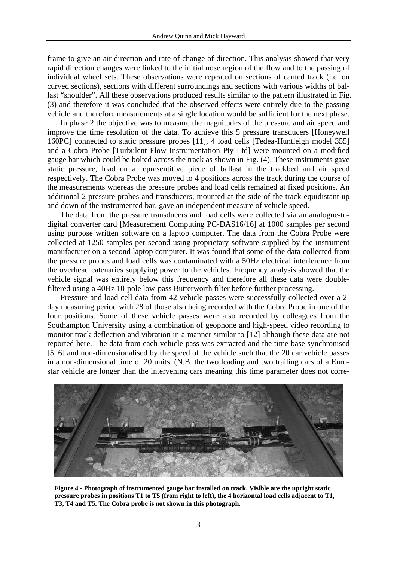frame to give an air direction and rate of change of direction. This analysis showed that very rapid direction changes were linked to the initial nose region of the flow and to the passing of individual wheel sets. These observations were repeated on sections of canted track (i.e. on curved sections), sections with different surroundings and sections with various widths of ballast "shoulder". All these observations produced results similar to the pattern illustrated in Fig. (3) and therefore it was concluded that the observed effects were entirely due to the passing vehicle and therefore measurements at a single location would be sufficient for the next phase.

In phase 2 the objective was to measure the magnitudes of the pressure and air speed and improve the time resolution of the data. To achieve this 5 pressure transducers [Honeywell 160PC] connected to static pressure probes [11], 4 load cells [Tedea-Huntleigh model 355] and a Cobra Probe [Turbulent Flow Instrumentation Pty Ltd] were mounted on a modified gauge bar which could be bolted across the track as shown in Fig. (4). These instruments gave static pressure, load on a representitive piece of ballast in the trackbed and air speed respectively. The Cobra Probe was moved to 4 positions across the track during the course of the measurements whereas the pressure probes and load cells remained at fixed positions. An additional 2 pressure probes and transducers, mounted at the side of the track equidistant up and down of the instrumented bar, gave an independent measure of vehicle speed.

The data from the pressure transducers and load cells were collected via an analogue-todigital converter card [Measurement Computing PC-DAS16/16] at 1000 samples per second using purpose written software on a laptop computer. The data from the Cobra Probe were collected at 1250 samples per second using proprietary software supplied by the instrument manufacturer on a second laptop computer. It was found that some of the data collected from the pressure probes and load cells was contaminated with a 50Hz electrical interference from the overhead catenaries supplying power to the vehicles. Frequency analysis showed that the vehicle signal was entirely below this frequency and therefore all these data were doublefiltered using a 40Hz 10-pole low-pass Butterworth filter before further processing.

Pressure and load cell data from 42 vehicle passes were successfully collected over a 2 day measuring period with 28 of those also being recorded with the Cobra Probe in one of the four positions. Some of these vehicle passes were also recorded by colleagues from the Southampton University using a combination of geophone and high-speed video recording to monitor track deflection and vibration in a manner similar to [12] although these data are not reported here. The data from each vehicle pass was extracted and the time base synchronised [5, 6] and non-dimensionalised by the speed of the vehicle such that the 20 car vehicle passes in a non-dimensional time of 20 units. (N.B. the two leading and two trailing cars of a Eurostar vehicle are longer than the intervening cars meaning this time parameter does not corre-



**Figure 4 - Photograph of instrumented gauge bar installed on track. Visible are the upright static pressure probes in positions T1 to T5 (from right to left), the 4 horizontal load cells adjacent to T1, T3, T4 and T5. The Cobra probe is not shown in this photograph.**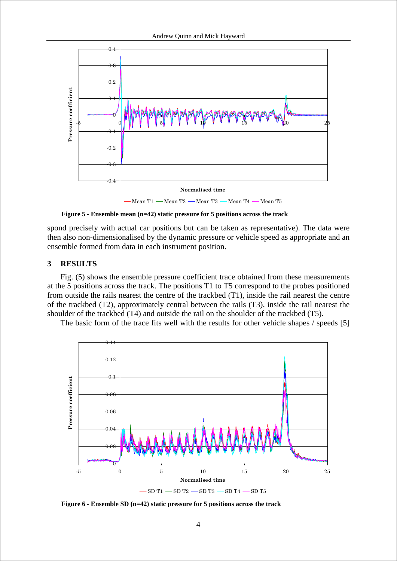

**Figure 5 - Ensemble mean (n=42) static pressure for 5 positions across the track** 

spond precisely with actual car positions but can be taken as representative). The data were then also non-dimensionalised by the dynamic pressure or vehicle speed as appropriate and an ensemble formed from data in each instrument position.

### **3 RESULTS**

Fig. (5) shows the ensemble pressure coefficient trace obtained from these measurements at the 5 positions across the track. The positions T1 to T5 correspond to the probes positioned from outside the rails nearest the centre of the trackbed (T1), inside the rail nearest the centre of the trackbed (T2), approximately central between the rails (T3), inside the rail nearest the shoulder of the trackbed (T4) and outside the rail on the shoulder of the trackbed (T5).

The basic form of the trace fits well with the results for other vehicle shapes / speeds [5]



**Figure 6 - Ensemble SD (n=42) static pressure for 5 positions across the track**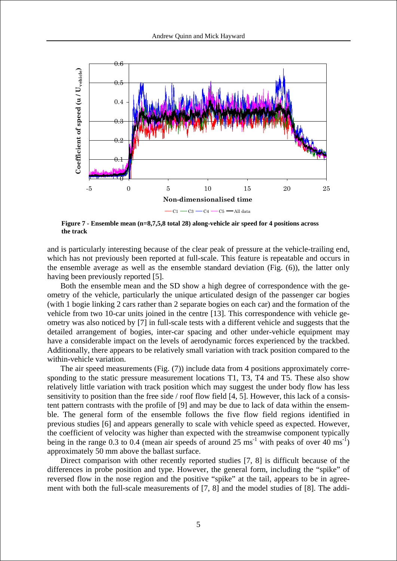

**Figure 7 - Ensemble mean (n=8,7,5,8 total 28) along-vehicle air speed for 4 positions across the track** 

and is particularly interesting because of the clear peak of pressure at the vehicle-trailing end, which has not previously been reported at full-scale. This feature is repeatable and occurs in the ensemble average as well as the ensemble standard deviation (Fig. (6)), the latter only having been previously reported [5].

Both the ensemble mean and the SD show a high degree of correspondence with the geometry of the vehicle, particularly the unique articulated design of the passenger car bogies (with 1 bogie linking 2 cars rather than 2 separate bogies on each car) and the formation of the vehicle from two 10-car units joined in the centre [13]. This correspondence with vehicle geometry was also noticed by [7] in full-scale tests with a different vehicle and suggests that the detailed arrangement of bogies, inter-car spacing and other under-vehicle equipment may have a considerable impact on the levels of aerodynamic forces experienced by the trackbed. Additionally, there appears to be relatively small variation with track position compared to the within-vehicle variation.

The air speed measurements (Fig. (7)) include data from 4 positions approximately corresponding to the static pressure measurement locations T1, T3, T4 and T5. These also show relatively little variation with track position which may suggest the under body flow has less sensitivity to position than the free side / roof flow field [4, 5]. However, this lack of a consistent pattern contrasts with the profile of [9] and may be due to lack of data within the ensemble. The general form of the ensemble follows the five flow field regions identified in previous studies [6] and appears generally to scale with vehicle speed as expected. However, the coefficient of velocity was higher than expected with the streamwise component typically being in the range 0.3 to 0.4 (mean air speeds of around 25 ms<sup>-1</sup> with peaks of over  $40 \text{ ms}^{-1}$ ) approximately 50 mm above the ballast surface.

Direct comparison with other recently reported studies [7, 8] is difficult because of the differences in probe position and type. However, the general form, including the "spike" of reversed flow in the nose region and the positive "spike" at the tail, appears to be in agreement with both the full-scale measurements of [7, 8] and the model studies of [8]. The addi-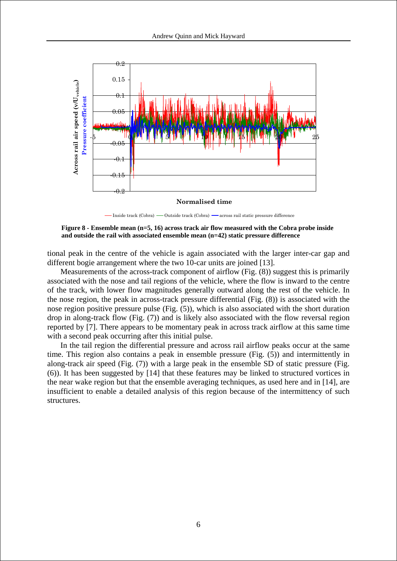

Inside track  $(Cobra)$   $\longrightarrow$  Outside track  $(Cobra)$   $\longrightarrow$  across rail static pressure difference

Figure 8 - Ensemble mean (n=5, 16) across track air flow measured with the Cobra probe inside **and outside the rail with associated ensemble mean (n=42) static pressure difference** 

tional peak in the centre of the vehicle is again associated with the larger inter-car gap and different bogie arrangement where the two 10-car units are joined [13].

Measurements of the across-track component of airflow (Fig. (8)) suggest this is primarily associated with the nose and tail regions of the vehicle, where the flow is inward to the centre of the track, with lower flow magnitudes generally outward along the rest of the vehicle. In the nose region, the peak in across-track pressure differential (Fig. (8)) is associated with the nose region positive pressure pulse (Fig. (5)), which is also associated with the short duration drop in along-track flow (Fig. (7)) and is likely also associated with the flow reversal region reported by [7]. There appears to be momentary peak in across track airflow at this same time with a second peak occurring after this initial pulse.

In the tail region the differential pressure and across rail airflow peaks occur at the same time. This region also contains a peak in ensemble pressure (Fig. (5)) and intermittently in along-track air speed (Fig. (7)) with a large peak in the ensemble SD of static pressure (Fig. (6)). It has been suggested by [14] that these features may be linked to structured vortices in the near wake region but that the ensemble averaging techniques, as used here and in [14], are insufficient to enable a detailed analysis of this region because of the intermittency of such structures.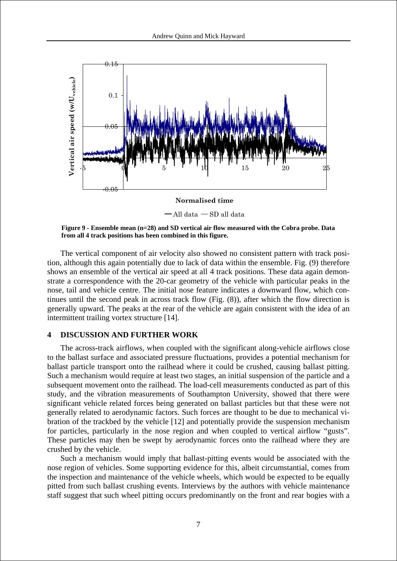

**Figure 9 - Ensemble mean (n=28) and SD vertical air flow measured with the Cobra probe. D ata from all 4 track positions has been combined in this figure.** 

The vertical component of air velocity also showed no consistent pattern with track position, although this again potentially due to lack of data within the ensemble. Fig. (9) therefore shows an ensemble of the vertical air speed at all 4 track positions. These data again demonstrate a correspondence with the 20-car geometry of the vehicle with particular peaks in the nose, tail and vehicle centre. The initial nose feature indicates a downward flow, which continues until the second peak in across track flow (Fig. (8)), after which the flow direction is generally upward. The peaks at the rear of the vehicle are again consistent with the idea of an intermittent trailing vortex structure [14].

#### **4 DISCUSSION AND FURTHER WORK**

The across-track airflows, when coupled with the significant along-vehicle airflows close to the ballast surface and associated pressure fluctuations, provides a potential mechanism for ballast particle transport onto the railhead where it could be crushed, causing ballast pitting. Such a mechanism would require at least two stages, an initial suspension of the particle and a subsequent movement onto the railhead. The load-cell measurements conducted as part of this study, and the vibration measurements of Southampton University, showed that there were significant vehicle related forces being generated on ballast particles but that these were not generally related to aerodynamic factors. Such forces are thought to be due to mechanical vibration of the trackbed by the vehicle [12] and potentially provide the suspension mechanism for particles, particularly in the nose region and when coupled to vertical airflow "gusts". These particles may then be swept by aerodynamic forces onto the railhead where they are crushed by the vehicle.

Such a mechanism would imply that ballast-pitting events would be associated with the nose region of vehicles. Some supporting evidence for this, albeit circumstantial, comes from the inspection and maintenance of the vehicle wheels, which would be expected to be equally pitted from such ballast crushing events. Interviews by the authors with vehicle maintenance staff suggest that such wheel pitting occurs predominantly on the front and rear bogies with a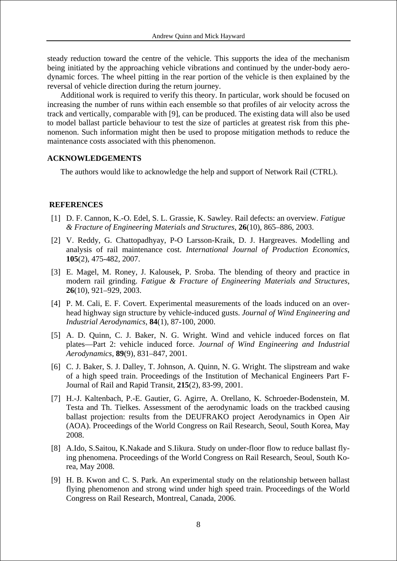steady reduction toward the centre of the vehicle. This supports the idea of the mechanism being initiated by the approaching vehicle vibrations and continued by the under-body aerodynamic forces. The wheel pitting in the rear portion of the vehicle is then explained by the reversal of vehicle direction during the return journey.

Additional work is required to verify this theory. In particular, work should be focused on increasing the number of runs within each ensemble so that profiles of air velocity across the track and vertically, comparable with [9], can be produced. The existing data will also be used to model ballast particle behaviour to test the size of particles at greatest risk from this phenomenon. Such information might then be used to propose mitigation methods to reduce the maintenance costs associated with this phenomenon.

# **ACKNOWLEDGEMENTS**

The authors would like to acknowledge the help and support of Network Rail (CTRL).

## **REFERENCES**

- [1] D. F. Cannon, K.-O. Edel, S. L. Grassie, K. Sawley. Rail defects: an overview. *Fatigue & Fracture of Engineering Materials and Structures*, **26**(10), 865–886, 2003.
- [2] V. Reddy, G. Chattopadhyay, P-O Larsson-Kraik, D. J. Hargreaves. Modelling and analysis of rail maintenance cost. *International Journal of Production Economics*, **105**(2), 475-482, 2007.
- [3] E. Magel, M. Roney, J. Kalousek, P. Sroba. The blending of theory and practice in modern rail grinding. *Fatigue & Fracture of Engineering Materials and Structures*, **26**(10), 921–929, 2003.
- [4] P. M. Cali, E. F. Covert. Experimental measurements of the loads induced on an overhead highway sign structure by vehicle-induced gusts. *Journal of Wind Engineering and Industrial Aerodynamics*, **84**(1), 87-100, 2000.
- [5] A. D. Quinn, C. J. Baker, N. G. Wright. Wind and vehicle induced forces on flat plates—Part 2: vehicle induced force. *Journal of Wind Engineering and Industrial Aerodynamics*, **89**(9), 831–847, 2001.
- [6] C. J. Baker, S. J. Dalley, T. Johnson, A. Quinn, N. G. Wright. The slipstream and wake of a high speed train. Proceedings of the Institution of Mechanical Engineers Part F-Journal of Rail and Rapid Transit, **215**(2), 83-99, 2001.
- [7] H.-J. Kaltenbach, P.-E. Gautier, G. Agirre, A. Orellano, K. Schroeder-Bodenstein, M. Testa and Th. Tielkes. Assessment of the aerodynamic loads on the trackbed causing ballast projection: results from the DEUFRAKO project Aerodynamics in Open Air (AOA). Proceedings of the World Congress on Rail Research, Seoul, South Korea, May 2008.
- [8] A.Ido, S.Saitou, K.Nakade and S.Iikura. Study on under-floor flow to reduce ballast flying phenomena. Proceedings of the World Congress on Rail Research, Seoul, South Korea, May 2008.
- [9] H. B. Kwon and C. S. Park. An experimental study on the relationship between ballast flying phenomenon and strong wind under high speed train. Proceedings of the World Congress on Rail Research, Montreal, Canada, 2006.